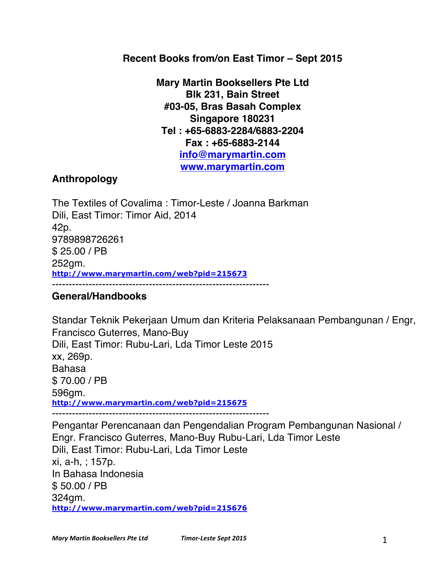# **Recent Books from/on East Timor – Sept 2015**

**Mary Martin Booksellers Pte Ltd Blk 231, Bain Street #03-05, Bras Basah Complex Singapore 180231 Tel : +65-6883-2284/6883-2204 Fax : +65-6883-2144 info@marymartin.com www.marymartin.com**

## **Anthropology**

The Textiles of Covalima : Timor-Leste / Joanna Barkman Dili, East Timor: Timor Aid, 2014 42p. 9789898726261 \$ 25.00 / PB 252gm. **http://www.marymartin.com/web?pid=215673** -----------------------------------------------------------------

#### **General/Handbooks**

Standar Teknik Pekerjaan Umum dan Kriteria Pelaksanaan Pembangunan / Engr, Francisco Guterres, Mano-Buy Dili, East Timor: Rubu-Lari, Lda Timor Leste 2015 xx, 269p. Bahasa \$ 70.00 / PB 596gm. **http://www.marymartin.com/web?pid=215675**

-----------------------------------------------------------------

Pengantar Perencanaan dan Pengendalian Program Pembangunan Nasional / Engr. Francisco Guterres, Mano-Buy Rubu-Lari, Lda Timor Leste Dili, East Timor: Rubu-Lari, Lda Timor Leste xi, a-h, ; 157p. In Bahasa Indonesia \$ 50.00 / PB 324gm. **http://www.marymartin.com/web?pid=215676**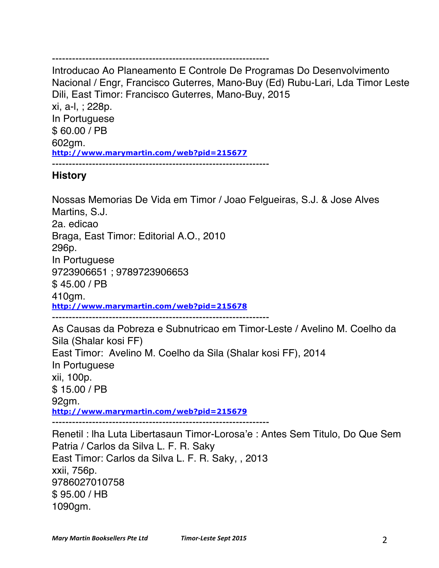#### -----------------------------------------------------------------

Introducao Ao Planeamento E Controle De Programas Do Desenvolvimento Nacional / Engr, Francisco Guterres, Mano-Buy (Ed) Rubu-Lari, Lda Timor Leste Dili, East Timor: Francisco Guterres, Mano-Buy, 2015 xi, a-l, ; 228p. In Portuguese \$ 60.00 / PB

602gm.

**http://www.marymartin.com/web?pid=215677**

-----------------------------------------------------------------

## **History**

Nossas Memorias De Vida em Timor / Joao Felgueiras, S.J. & Jose Alves Martins, S.J. 2a. edicao Braga, East Timor: Editorial A.O., 2010 296p. In Portuguese 9723906651 ; 9789723906653 \$ 45.00 / PB 410gm. **http://www.marymartin.com/web?pid=215678** ----------------------------------------------------------------- As Causas da Pobreza e Subnutricao em Timor-Leste / Avelino M. Coelho da

Sila (Shalar kosi FF) East Timor: Avelino M. Coelho da Sila (Shalar kosi FF), 2014 In Portuguese xii, 100p. \$ 15.00 / PB 92gm. **http://www.marymartin.com/web?pid=215679** Renetil : lha Luta Libertasaun Timor-Lorosa'e : Antes Sem Titulo, Do Que Sem Patria / Carlos da Silva L. F. R. Saky

East Timor: Carlos da Silva L. F. R. Saky, , 2013 xxii, 756p. 9786027010758 \$ 95.00 / HB 1090gm.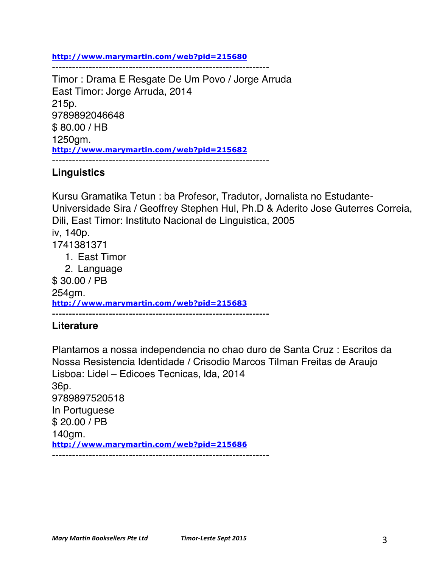**http://www.marymartin.com/web?pid=215680**

Timor : Drama E Resgate De Um Povo / Jorge Arruda East Timor: Jorge Arruda, 2014 215p. 9789892046648 \$ 80.00 / HB 1250gm. **http://www.marymartin.com/web?pid=215682** -----------------------------------------------------------------

-----------------------------------------------------------------

## **Linguistics**

Kursu Gramatika Tetun : ba Profesor, Tradutor, Jornalista no Estudante-Universidade Sira / Geoffrey Stephen Hul, Ph.D & Aderito Jose Guterres Correia, Dili, East Timor: Instituto Nacional de Linguistica, 2005 iv, 140p. 1741381371 1. East Timor 2. Language \$ 30.00 / PB 254gm. **http://www.marymartin.com/web?pid=215683** -----------------------------------------------------------------

## **Literature**

Plantamos a nossa independencia no chao duro de Santa Cruz : Escritos da Nossa Resistencia Identidade / Crisodio Marcos Tilman Freitas de Araujo Lisboa: Lidel – Edicoes Tecnicas, lda, 2014 36p. 9789897520518 In Portuguese \$ 20.00 / PB 140gm. **http://www.marymartin.com/web?pid=215686** -----------------------------------------------------------------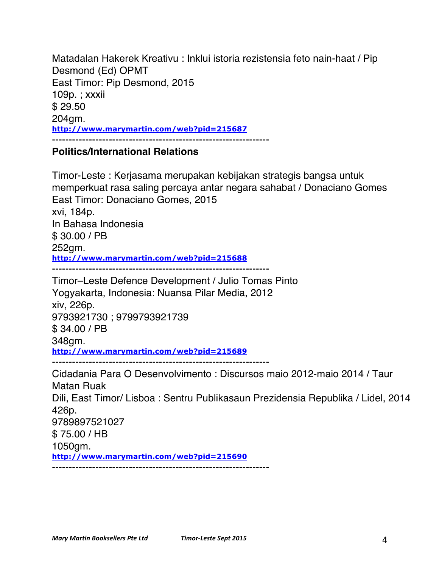Matadalan Hakerek Kreativu : Inklui istoria rezistensia feto nain-haat / Pip Desmond (Ed) OPMT East Timor: Pip Desmond, 2015 109p. ; xxxii \$ 29.50 204gm. **http://www.marymartin.com/web?pid=215687**

#### **Politics/International Relations**

Timor-Leste : Kerjasama merupakan kebijakan strategis bangsa untuk memperkuat rasa saling percaya antar negara sahabat / Donaciano Gomes East Timor: Donaciano Gomes, 2015 xvi, 184p. In Bahasa Indonesia \$ 30.00 / PB 252gm. **http://www.marymartin.com/web?pid=215688** ----------------------------------------------------------------- Timor–Leste Defence Development / Julio Tomas Pinto Yogyakarta, Indonesia: Nuansa Pilar Media, 2012 xiv, 226p. 9793921730 ; 9799793921739 \$ 34.00 / PB 348gm. **http://www.marymartin.com/web?pid=215689** ----------------------------------------------------------------- Cidadania Para O Desenvolvimento : Discursos maio 2012-maio 2014 / Taur Matan Ruak Dili, East Timor/ Lisboa : Sentru Publikasaun Prezidensia Republika / Lidel, 2014 426p. 9789897521027 \$ 75.00 / HB 1050gm. **http://www.marymartin.com/web?pid=215690**

-----------------------------------------------------------------